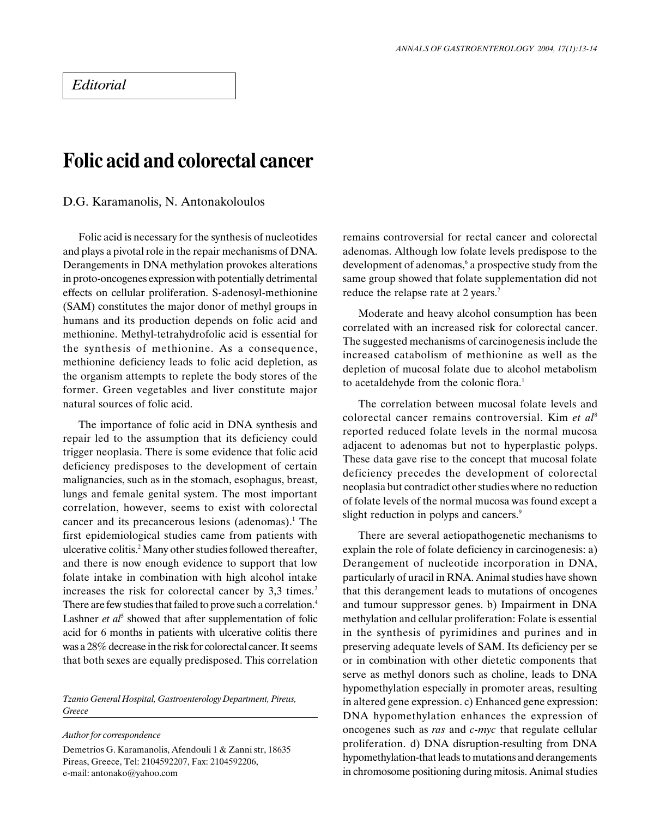## Folic acid and colorectal cancer

D.G. Karamanolis, N. Antonakoloulos

Folic acid is necessary for the synthesis of nucleotides and plays a pivotal role in the repair mechanisms of DNA. Derangements in DNA methylation provokes alterations in proto-oncogenes expression with potentially detrimental effects on cellular proliferation. S-adenosyl-methionine (SAM) constitutes the major donor of methyl groups in humans and its production depends on folic acid and methionine. Methyl-tetrahydrofolic acid is essential for the synthesis of methionine. As a consequence, methionine deficiency leads to folic acid depletion, as the organism attempts to replete the body stores of the former. Green vegetables and liver constitute major natural sources of folic acid.

The importance of folic acid in DNA synthesis and repair led to the assumption that its deficiency could trigger neoplasia. There is some evidence that folic acid deficiency predisposes to the development of certain malignancies, such as in the stomach, esophagus, breast, lungs and female genital system. The most important correlation, however, seems to exist with colorectal cancer and its precancerous lesions (adenomas).<sup>1</sup> The first epidemiological studies came from patients with ulcerative colitis.2 Many other studies followed thereafter, and there is now enough evidence to support that low folate intake in combination with high alcohol intake increases the risk for colorectal cancer by 3,3 times.<sup>3</sup> There are few studies that failed to prove such a correlation.<sup>4</sup> Lashner et  $a^f$  showed that after supplementation of folic acid for 6 months in patients with ulcerative colitis there was a 28% decrease in the risk for colorectal cancer. It seems that both sexes are equally predisposed. This correlation

Tzanio General Hospital, Gastroenterology Department, Pireus, Greece

Author for correspondence

Demetrios G. Karamanolis, Afendouli 1 & Zanni str, 18635 Pireas, Greece, Tel: 2104592207, Fax: 2104592206, e-mail: antonako@yahoo.com

remains controversial for rectal cancer and colorectal adenomas. Although low folate levels predispose to the development of adenomas,<sup>6</sup> a prospective study from the same group showed that folate supplementation did not reduce the relapse rate at 2 years.<sup>7</sup>

Moderate and heavy alcohol consumption has been correlated with an increased risk for colorectal cancer. The suggested mechanisms of carcinogenesis include the increased catabolism of methionine as well as the depletion of mucosal folate due to alcohol metabolism to acetaldehyde from the colonic flora.<sup>1</sup>

The correlation between mucosal folate levels and colorectal cancer remains controversial. Kim et al<sup>8</sup> reported reduced folate levels in the normal mucosa adjacent to adenomas but not to hyperplastic polyps. These data gave rise to the concept that mucosal folate deficiency precedes the development of colorectal neoplasia but contradict other studies where no reduction of folate levels of the normal mucosa was found except a slight reduction in polyps and cancers.<sup>9</sup>

There are several aetiopathogenetic mechanisms to explain the role of folate deficiency in carcinogenesis: a) Derangement of nucleotide incorporation in DNA, particularly of uracil in RNA. Animal studies have shown that this derangement leads to mutations of oncogenes and tumour suppressor genes. b) Impairment in DNA methylation and cellular proliferation: Folate is essential in the synthesis of pyrimidines and purines and in preserving adequate levels of SAM. Its deficiency per se or in combination with other dietetic components that serve as methyl donors such as choline, leads to DNA hypomethylation especially in promoter areas, resulting in altered gene expression. c) Enhanced gene expression: DNA hypomethylation enhances the expression of oncogenes such as ras and c-myc that regulate cellular proliferation. d) DNA disruption-resulting from DNA hypomethylation-that leads to mutations and derangements in chromosome positioning during mitosis. Animal studies